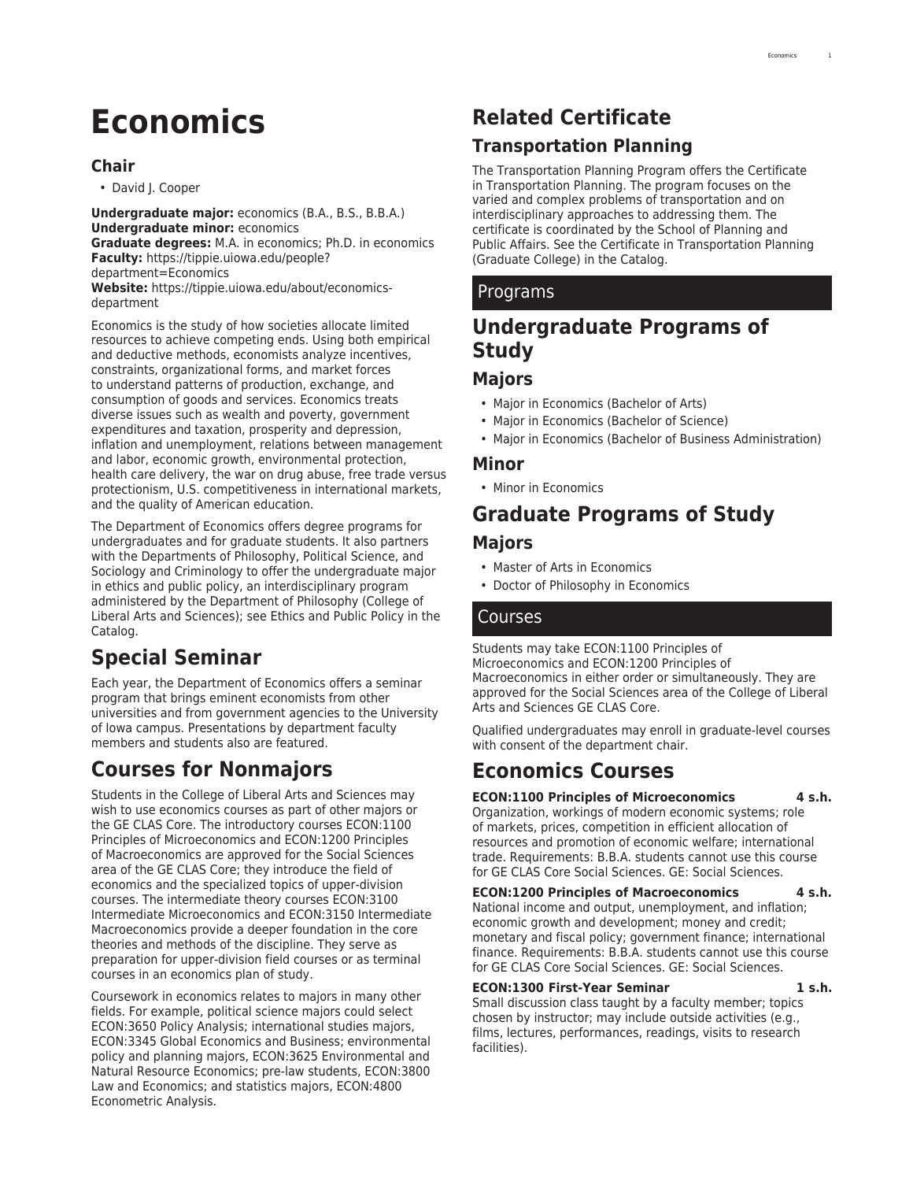# **Economics**

### **Chair**

• David J. Cooper

**Undergraduate major:** economics (B.A., B.S., B.B.A.) **Undergraduate minor:** economics **Graduate degrees:** M.A. in economics; Ph.D. in economics **Faculty:** [https://tippie.uiowa.edu/people?](https://tippie.uiowa.edu/people/?department=Economics)

[department=Economics](https://tippie.uiowa.edu/people/?department=Economics)

**Website:** [https://tippie.uiowa.edu/about/economics](https://tippie.uiowa.edu/about/economics-department/)[department](https://tippie.uiowa.edu/about/economics-department/)

Economics is the study of how societies allocate limited resources to achieve competing ends. Using both empirical and deductive methods, economists analyze incentives, constraints, organizational forms, and market forces to understand patterns of production, exchange, and consumption of goods and services. Economics treats diverse issues such as wealth and poverty, government expenditures and taxation, prosperity and depression, inflation and unemployment, relations between management and labor, economic growth, environmental protection, health care delivery, the war on drug abuse, free trade versus protectionism, U.S. competitiveness in international markets, and the quality of American education.

The Department of Economics offers degree programs for undergraduates and for graduate students. It also partners with the Departments of Philosophy, Political Science, and Sociology and Criminology to offer the undergraduate major in ethics and public policy, an interdisciplinary program administered by the Department of Philosophy (College of Liberal Arts and Sciences); see [Ethics and Public Policy](http://catalog.registrar.uiowa.edu/liberal-arts-sciences/ethics-public-policy/) in the Catalog.

## **Special Seminar**

Each year, the Department of Economics offers a seminar program that brings eminent economists from other universities and from government agencies to the University of Iowa campus. Presentations by department faculty members and students also are featured.

## **Courses for Nonmajors**

Students in the College of Liberal Arts and Sciences may wish to use economics courses as part of other majors or the [GE CLAS Core](http://catalog.registrar.uiowa.edu/liberal-arts-sciences/general-education-program/). The introductory courses ECON:1100 Principles of Microeconomics and ECON:1200 Principles of Macroeconomics are approved for the Social Sciences area of the GE CLAS Core; they introduce the field of economics and the specialized topics of upper-division courses. The intermediate theory courses ECON:3100 Intermediate Microeconomics and ECON:3150 Intermediate Macroeconomics provide a deeper foundation in the core theories and methods of the discipline. They serve as preparation for upper-division field courses or as terminal courses in an economics plan of study.

Coursework in economics relates to majors in many other fields. For example, political science majors could select ECON:3650 Policy Analysis; international studies majors, ECON:3345 Global Economics and Business; environmental policy and planning majors, ECON:3625 Environmental and Natural Resource Economics; pre-law students, ECON:3800 Law and Economics; and statistics majors, ECON:4800 Econometric Analysis.

## **Related Certificate Transportation Planning**

The Transportation Planning Program offers the Certificate in Transportation Planning. The program focuses on the varied and complex problems of transportation and on interdisciplinary approaches to addressing them. The certificate is coordinated by the School of Planning and Public Affairs. See the [Certificate in Transportation Planning](http://catalog.registrar.uiowa.edu/graduate-college/transportation-planning/certificate/) (Graduate College) in the Catalog.

## Programs

## **Undergraduate Programs of Study**

## **Majors**

- [Major in Economics \(Bachelor of Arts\)](http://catalog.registrar.uiowa.edu/tippie-business/economics/economics-ba/)
- [Major in Economics \(Bachelor of Science\)](http://catalog.registrar.uiowa.edu/tippie-business/economics/economics-bs/)
- [Major in Economics \(Bachelor of Business Administration\)](http://catalog.registrar.uiowa.edu/tippie-business/economics/economics-bba/)

### **Minor**

• [Minor in Economics](http://catalog.registrar.uiowa.edu/tippie-business/economics/economics-minor/)

## **Graduate Programs of Study**

### **Majors**

- [Master of Arts in Economics](http://catalog.registrar.uiowa.edu/tippie-business/economics/economics-ma/)
- [Doctor of Philosophy in Economics](http://catalog.registrar.uiowa.edu/tippie-business/economics/economics-phd/)

## Courses

Students may take ECON:1100 Principles of Microeconomics and ECON:1200 Principles of Macroeconomics in either order or simultaneously. They are approved for the Social Sciences area of the College of Liberal Arts and Sciences [GE CLAS Core](http://catalog.registrar.uiowa.edu/liberal-arts-sciences/general-education-program/).

Qualified undergraduates may enroll in graduate-level courses with consent of the department chair.

## **Economics Courses**

### **ECON:1100 Principles of Microeconomics 4 s.h.**

Organization, workings of modern economic systems; role of markets, prices, competition in efficient allocation of resources and promotion of economic welfare; international trade. Requirements: B.B.A. students cannot use this course for GE CLAS Core Social Sciences. GE: Social Sciences.

**ECON:1200 Principles of Macroeconomics 4 s.h.** National income and output, unemployment, and inflation; economic growth and development; money and credit; monetary and fiscal policy; government finance; international finance. Requirements: B.B.A. students cannot use this course for GE CLAS Core Social Sciences. GE: Social Sciences.

### **ECON:1300 First-Year Seminar 1 s.h.**

Small discussion class taught by a faculty member; topics chosen by instructor; may include outside activities (e.g., films, lectures, performances, readings, visits to research facilities).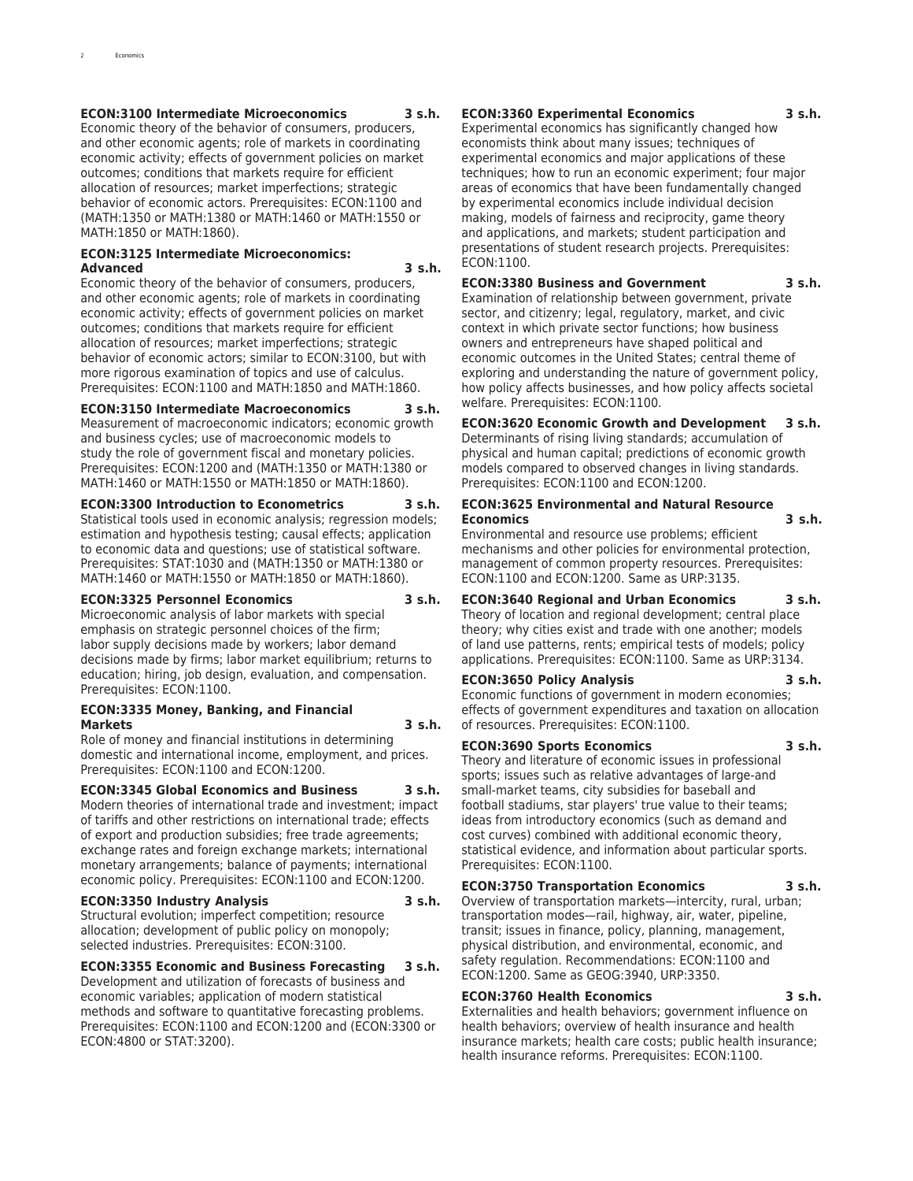#### **ECON:3100 Intermediate Microeconomics 3 s.h.**

Economic theory of the behavior of consumers, producers, and other economic agents; role of markets in coordinating economic activity; effects of government policies on market outcomes; conditions that markets require for efficient allocation of resources; market imperfections; strategic behavior of economic actors. Prerequisites: ECON:1100 and (MATH:1350 or MATH:1380 or MATH:1460 or MATH:1550 or MATH:1850 or MATH:1860).

#### **ECON:3125 Intermediate Microeconomics: Advanced 3 s.h.**

Economic theory of the behavior of consumers, producers, and other economic agents; role of markets in coordinating economic activity; effects of government policies on market outcomes; conditions that markets require for efficient allocation of resources; market imperfections; strategic behavior of economic actors; similar to ECON:3100, but with more rigorous examination of topics and use of calculus. Prerequisites: ECON:1100 and MATH:1850 and MATH:1860.

#### **ECON:3150 Intermediate Macroeconomics 3 s.h.**

Measurement of macroeconomic indicators; economic growth and business cycles; use of macroeconomic models to study the role of government fiscal and monetary policies. Prerequisites: ECON:1200 and (MATH:1350 or MATH:1380 or MATH:1460 or MATH:1550 or MATH:1850 or MATH:1860).

#### **ECON:3300 Introduction to Econometrics 3 s.h.**

Statistical tools used in economic analysis; regression models; estimation and hypothesis testing; causal effects; application to economic data and questions; use of statistical software. Prerequisites: STAT:1030 and (MATH:1350 or MATH:1380 or MATH:1460 or MATH:1550 or MATH:1850 or MATH:1860).

#### **ECON:3325 Personnel Economics 3 s.h.**

Microeconomic analysis of labor markets with special emphasis on strategic personnel choices of the firm; labor supply decisions made by workers; labor demand decisions made by firms; labor market equilibrium; returns to education; hiring, job design, evaluation, and compensation. Prerequisites: ECON:1100.

#### **ECON:3335 Money, Banking, and Financial Markets 3 s.h.**

Role of money and financial institutions in determining domestic and international income, employment, and prices. Prerequisites: ECON:1100 and ECON:1200.

#### **ECON:3345 Global Economics and Business 3 s.h.**

Modern theories of international trade and investment; impact of tariffs and other restrictions on international trade; effects of export and production subsidies; free trade agreements; exchange rates and foreign exchange markets; international monetary arrangements; balance of payments; international economic policy. Prerequisites: ECON:1100 and ECON:1200.

#### **ECON:3350 Industry Analysis 3 s.h.**

Structural evolution; imperfect competition; resource allocation; development of public policy on monopoly; selected industries. Prerequisites: ECON:3100.

**ECON:3355 Economic and Business Forecasting 3 s.h.** Development and utilization of forecasts of business and economic variables; application of modern statistical methods and software to quantitative forecasting problems. Prerequisites: ECON:1100 and ECON:1200 and (ECON:3300 or ECON:4800 or STAT:3200).

#### **ECON:3360 Experimental Economics 3 s.h.**

Experimental economics has significantly changed how economists think about many issues; techniques of experimental economics and major applications of these techniques; how to run an economic experiment; four major areas of economics that have been fundamentally changed by experimental economics include individual decision making, models of fairness and reciprocity, game theory and applications, and markets; student participation and presentations of student research projects. Prerequisites: ECON:1100.

## **ECON:3380 Business and Government 3 s.h.**

Examination of relationship between government, private sector, and citizenry; legal, regulatory, market, and civic context in which private sector functions; how business owners and entrepreneurs have shaped political and economic outcomes in the United States; central theme of exploring and understanding the nature of government policy, how policy affects businesses, and how policy affects societal welfare. Prerequisites: ECON:1100.

#### **ECON:3620 Economic Growth and Development 3 s.h.**

Determinants of rising living standards; accumulation of physical and human capital; predictions of economic growth models compared to observed changes in living standards. Prerequisites: ECON:1100 and ECON:1200.

#### **ECON:3625 Environmental and Natural Resource Economics 3 s.h.**

Environmental and resource use problems; efficient mechanisms and other policies for environmental protection, management of common property resources. Prerequisites: ECON:1100 and ECON:1200. Same as URP:3135.

#### **ECON:3640 Regional and Urban Economics 3 s.h.**

Theory of location and regional development; central place theory; why cities exist and trade with one another; models of land use patterns, rents; empirical tests of models; policy applications. Prerequisites: ECON:1100. Same as URP:3134.

#### **ECON:3650 Policy Analysis 3 s.h.**

Economic functions of government in modern economies; effects of government expenditures and taxation on allocation of resources. Prerequisites: ECON:1100.

#### **ECON:3690 Sports Economics 3 s.h.**

Theory and literature of economic issues in professional sports; issues such as relative advantages of large-and small-market teams, city subsidies for baseball and football stadiums, star players' true value to their teams; ideas from introductory economics (such as demand and cost curves) combined with additional economic theory, statistical evidence, and information about particular sports. Prerequisites: ECON:1100.

#### **ECON:3750 Transportation Economics 3 s.h.**

Overview of transportation markets—intercity, rural, urban; transportation modes—rail, highway, air, water, pipeline, transit; issues in finance, policy, planning, management, physical distribution, and environmental, economic, and safety regulation. Recommendations: ECON:1100 and ECON:1200. Same as GEOG:3940, URP:3350.

#### **ECON:3760 Health Economics 3 s.h.**

Externalities and health behaviors; government influence on health behaviors; overview of health insurance and health insurance markets; health care costs; public health insurance; health insurance reforms. Prerequisites: ECON:1100.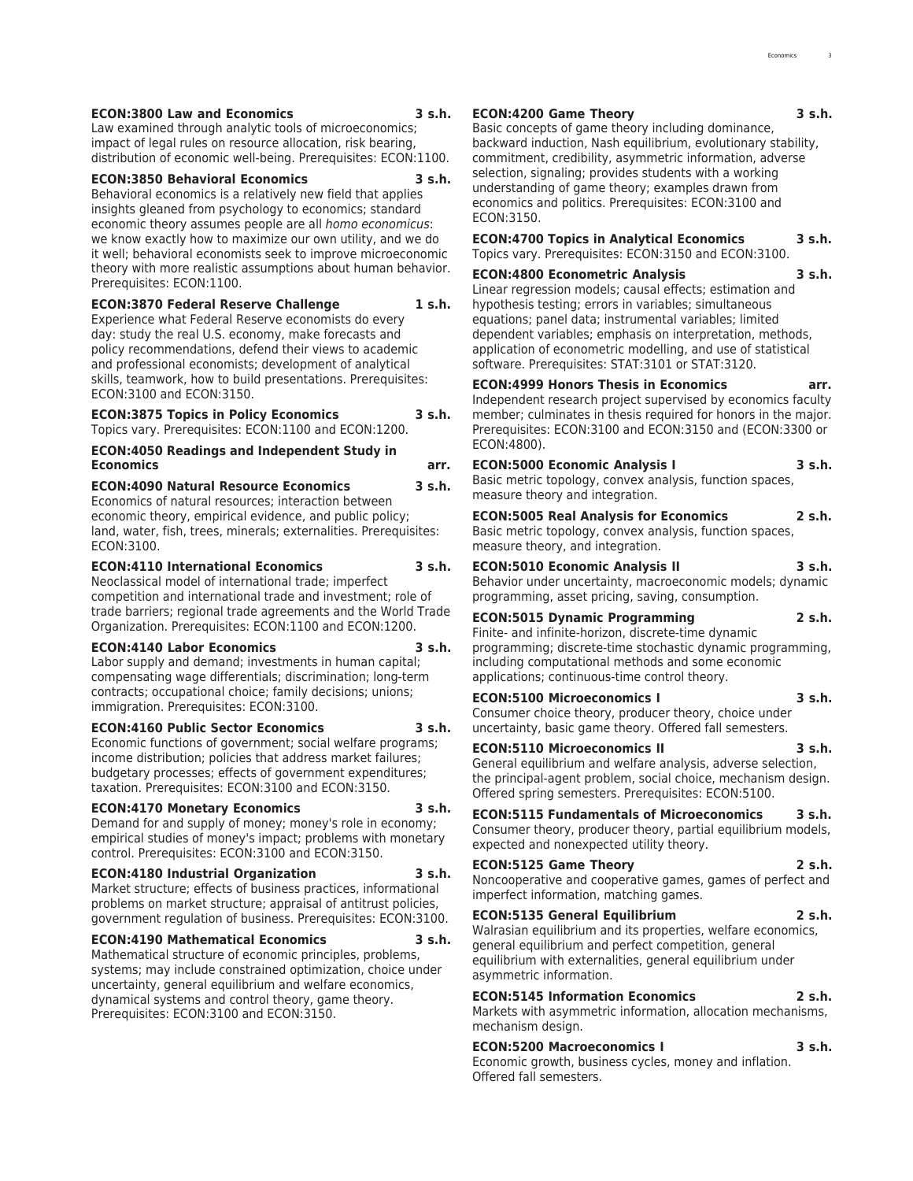#### **ECON:3800 Law and Economics 3 s.h.**

Law examined through analytic tools of microeconomics; impact of legal rules on resource allocation, risk bearing, distribution of economic well-being. Prerequisites: ECON:1100.

#### **ECON:3850 Behavioral Economics 3 s.h.**

Behavioral economics is a relatively new field that applies insights gleaned from psychology to economics; standard economic theory assumes people are all *homo economicus*: we know exactly how to maximize our own utility, and we do it well; behavioral economists seek to improve microeconomic theory with more realistic assumptions about human behavior. Prerequisites: ECON:1100.

#### **ECON:3870 Federal Reserve Challenge 1 s.h.**

Experience what Federal Reserve economists do every day: study the real U.S. economy, make forecasts and policy recommendations, defend their views to academic and professional economists; development of analytical skills, teamwork, how to build presentations. Prerequisites: ECON:3100 and ECON:3150.

### **ECON:3875 Topics in Policy Economics 3 s.h.**

Topics vary. Prerequisites: ECON:1100 and ECON:1200.

#### **ECON:4050 Readings and Independent Study in Economics arr.**

**ECON:4090 Natural Resource Economics 3 s.h.**

Economics of natural resources; interaction between economic theory, empirical evidence, and public policy; land, water, fish, trees, minerals; externalities. Prerequisites: ECON:3100.

#### **ECON:4110 International Economics 3 s.h.**

Neoclassical model of international trade; imperfect competition and international trade and investment; role of trade barriers; regional trade agreements and the World Trade Organization. Prerequisites: ECON:1100 and ECON:1200.

#### **ECON:4140 Labor Economics 3 s.h.**

Labor supply and demand; investments in human capital; compensating wage differentials; discrimination; long-term contracts; occupational choice; family decisions; unions; immigration. Prerequisites: ECON:3100.

#### **ECON:4160 Public Sector Economics 3 s.h.**

Economic functions of government; social welfare programs; income distribution; policies that address market failures; budgetary processes; effects of government expenditures; taxation. Prerequisites: ECON:3100 and ECON:3150.

### **ECON:4170 Monetary Economics 3 s.h.**

Demand for and supply of money; money's role in economy; empirical studies of money's impact; problems with monetary control. Prerequisites: ECON:3100 and ECON:3150.

#### **ECON:4180 Industrial Organization 3 s.h.**

Market structure; effects of business practices, informational problems on market structure; appraisal of antitrust policies, government regulation of business. Prerequisites: ECON:3100.

#### **ECON:4190 Mathematical Economics 3 s.h.**

Mathematical structure of economic principles, problems, systems; may include constrained optimization, choice under uncertainty, general equilibrium and welfare economics, dynamical systems and control theory, game theory. Prerequisites: ECON:3100 and ECON:3150.

#### **ECON:4200 Game Theory 3 s.h.**

Basic concepts of game theory including dominance, backward induction, Nash equilibrium, evolutionary stability, commitment, credibility, asymmetric information, adverse selection, signaling; provides students with a working understanding of game theory; examples drawn from economics and politics. Prerequisites: ECON:3100 and ECON:3150.

#### **ECON:4700 Topics in Analytical Economics 3 s.h.** Topics vary. Prerequisites: ECON:3150 and ECON:3100.

**ECON:4800 Econometric Analysis 3 s.h.** Linear regression models; causal effects; estimation and hypothesis testing; errors in variables; simultaneous equations; panel data; instrumental variables; limited dependent variables; emphasis on interpretation, methods, application of econometric modelling, and use of statistical software. Prerequisites: STAT:3101 or STAT:3120.

**ECON:4999 Honors Thesis in Economics arr.** Independent research project supervised by economics faculty member; culminates in thesis required for honors in the major. Prerequisites: ECON:3100 and ECON:3150 and (ECON:3300 or ECON:4800).

**ECON:5000 Economic Analysis I 3 s.h.** Basic metric topology, convex analysis, function spaces, measure theory and integration.

**ECON:5005 Real Analysis for Economics 2 s.h.** Basic metric topology, convex analysis, function spaces, measure theory, and integration.

**ECON:5010 Economic Analysis II 3 s.h.** Behavior under uncertainty, macroeconomic models; dynamic programming, asset pricing, saving, consumption.

#### **ECON:5015 Dynamic Programming 2 s.h.**

Finite- and infinite-horizon, discrete-time dynamic programming; discrete-time stochastic dynamic programming, including computational methods and some economic applications; continuous-time control theory.

#### **ECON:5100 Microeconomics I 3 s.h.**

Consumer choice theory, producer theory, choice under uncertainty, basic game theory. Offered fall semesters.

#### **ECON:5110 Microeconomics II 3 s.h.**

General equilibrium and welfare analysis, adverse selection, the principal-agent problem, social choice, mechanism design. Offered spring semesters. Prerequisites: ECON:5100.

**ECON:5115 Fundamentals of Microeconomics 3 s.h.** Consumer theory, producer theory, partial equilibrium models, expected and nonexpected utility theory.

| <b>ECON:5125 Game Theory</b>                               | $2 \,$ s.h. |
|------------------------------------------------------------|-------------|
| Noncooperative and cooperative games, games of perfect and |             |
| imperfect information, matching games.                     |             |

#### **ECON:5135 General Equilibrium 2 s.h.**

Walrasian equilibrium and its properties, welfare economics, general equilibrium and perfect competition, general equilibrium with externalities, general equilibrium under asymmetric information.

#### **ECON:5145 Information Economics 2 s.h.**

Markets with asymmetric information, allocation mechanisms, mechanism design.

#### **ECON:5200 Macroeconomics I 3 s.h.**

Economic growth, business cycles, money and inflation. Offered fall semesters.